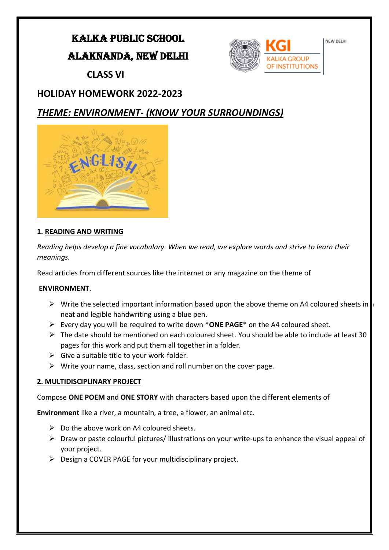## KALKA PUBLIC SCHOOL

### ALAKNANDA, NEW DELHI



 **CLASS VI**

## **HOLIDAY HOMEWORK 2022-2023**

## *THEME: ENVIRONMENT- (KNOW YOUR SURROUNDINGS)*



### **1. READING AND WRITING**

*Reading helps develop a fine vocabulary. When we read, we explore words and strive to learn their meanings.* 

Read articles from different sources like the internet or any magazine on the theme of

### **ENVIRONMENT**.

- $\triangleright$  Write the selected important information based upon the above theme on A4 coloured sheets in neat and legible handwriting using a blue pen.
- ➢ Every day you will be required to write down \***ONE PAGE**\* on the A4 coloured sheet.
- $\triangleright$  The date should be mentioned on each coloured sheet. You should be able to include at least 30 pages for this work and put them all together in a folder.
- $\triangleright$  Give a suitable title to your work-folder.
- $\triangleright$  Write your name, class, section and roll number on the cover page.

### **2. MULTIDISCIPLINARY PROJECT**

Compose **ONE POEM** and **ONE STORY** with characters based upon the different elements of

**Environment** like a river, a mountain, a tree, a flower, an animal etc.

- $\triangleright$  Do the above work on A4 coloured sheets.
- ➢ Draw or paste colourful pictures/ illustrations on your write-ups to enhance the visual appeal of your project.
- $\triangleright$  Design a COVER PAGE for your multidisciplinary project.

NEW DELHI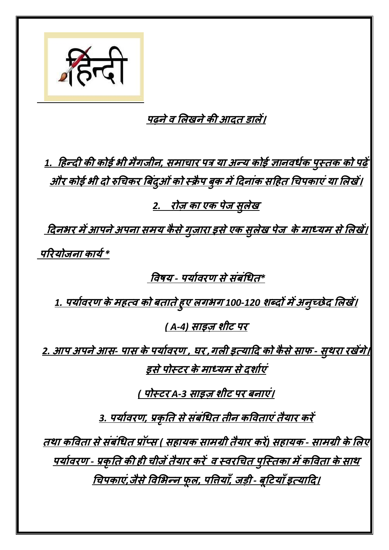

## **पढ़नेव लिखनेकी आदत डािें।**

*1.* **हिन्दी की कोई भी मैगजीन***,* **समाचार पत्र या अन्य कोई ज्ञानवर्धक <sup>प</sup> ुस्तक को पढ़ें और कोई भी दो रुचचकर ब दिं ओ ु िंको स्रै <sup>प</sup> ु <sup>क</sup> मेंहदनािंक सहित चचपकाएिंया लिखें।** *2.* **रोज़ का एक पेज सु िेख**

**हदनभर मेंआपनेअपना समय कै सेग ुज़ारा इसेएक सु िेख पेज****केमाध्यम सेलिखें।** परियोजना कार्य \*

**ववषय** *-* **पयाधवरण सेसिं िंचर्त***\** 

*1.* **पयाधवरण केमित्व को तातेि ु <sup>ए</sup> िगभग** *100-120* **शब्दों मेंअन ु च्छेद लिखें।**

*( A-4)* **साइज़ शीट पर**

*2.* **आप अपनेआस***-* **पास केपयाधवरण** *,* **घर** *,***गिी इत्याहद को कै सेसाफ** *-* **सु थरा रखेंगे। इसेपोस्टर केमाध्यम सेदशाधएिं**

*(* **पोस्टर** *A-3* **साइज़ शीट पर नाएिं।**

*3.* **पयाधवरण***,* **प्रक ृ तत सेसिं िंचर्त तीन कववताएिंतैयार करें**

**तथा कववता सेसिं िंचर्त प्रॉप्स** *(* **सिायक सामग्री तैयार करें***)* **सिायक** *-* **सामग्री केलिए पयाधवरण** *-* **प्रक ृ तत की िी चीज़ेंतैयार करें****<sup>व</sup> स्वरचचत <sup>प</sup> ु स्स्तका मेंकववता केसाथ** <u>विपकाएं,जैसे विभिन्न फूल, पतियाँ, जड़ी - बूटियाँ इत्यादि।</u>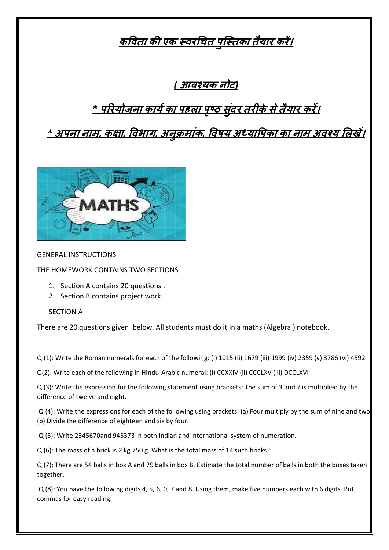## **कववता की एक स्वरचचत <sup>प</sup> ु स्स्तका तैयार करें।**

*(* **आवश्यक नोट***)*

# *\** **पररयोजना कायधका पििा <sup>प</sup> ृ ष्ठ सुदिं <sup>र</sup> तरीकेसेतैयार करें।**

*\** **अपना नाम***,* **कक्षा***,* **ववभाग***,* **अन ुरमािंक***,* **ववषय अध्यावपका का नाम अवश्य लिखें।**



#### GENERAL INSTRUCTIONS

THE HOMEWORK CONTAINS TWO SECTIONS

- 1. Section A contains 20 questions .
- 2. Section B contains project work.

### SECTION A

There are 20 questions given below. All students must do it in a maths (Algebra ) notebook.

Q.(1): Write the Roman numerals for each of the following: (i) 1015 (ii) 1679 (iii) 1999 (iv) 2359 (v) 3786 (vi) 4592

Q(2): Write each of the following in Hindu-Arabic numeral: (i) CCXXIV (ii) CCCLXV (iii) DCCLXVI

Q (3): Write the expression for the following statement using brackets: The sum of 3 and 7 is multiplied by the difference of twelve and eight.

Q (4): Write the expressions for each of the following using brackets: (a) Four multiply by the sum of nine and two. (b) Divide the difference of eighteen and six by four.

Q (5): Write 2345670and 945373 in both Indian and international system of numeration.

Q (6): The mass of a brick is 2 kg 750 g. What is the total mass of 14 such bricks?

Q (7): There are 54 balls in box A and 79 balls in box B. Estimate the total number of balls in both the boxes taken together.

Q (8): You have the following digits 4, 5, 6, 0, 7 and 8. Using them, make five numbers each with 6 digits. Put commas for easy reading.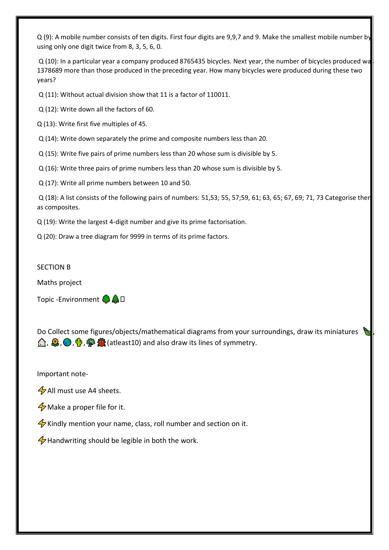Q (9): A mobile number consists of ten digits. First four digits are 9,9,7 and 9. Make the smallest mobile number by using only one digit twice from 8, 3, 5, 6, 0.

Q (10): In a particular year a company produced 8765435 bicycles. Next year, the number of bicycles produced wa 1378689 more than those produced in the preceding year. How many bicycles were produced during these two years?

Q (11): Without actual division show that 11 is a factor of 110011.

Q (12): Write down all the factors of 60.

Q (13): Write first five multiples of 45.

Q (14): Write down separately the prime and composite numbers less than 20.

Q (15): Write five pairs of prime numbers less than 20 whose sum is divisible by 5.

Q (16): Write three pairs of prime numbers less than 20 whose sum is divisible by 5.

Q (17): Write all prime numbers between 10 and 50.

 $Q(18)$ : A list consists of the following pairs of numbers: 51,53; 55, 57;59, 61; 63, 65; 67, 69; 71, 73 Categorise then as composites.

Q (19): Write the largest 4-digit number and give its prime factorisation.

Q (20): Draw a tree diagram for 9999 in terms of its prime factors.

#### SECTION B

Maths project

Topic -Environment **OAD** 

Do Collect some figures/objects/mathematical diagrams from your surroundings, draw its miniatures  $\bigoplus$ ,  $\bigoplus$ ,  $\bigoplus$ ,  $\bigoplus$   $\bigoplus$  (atleast10) and also draw its lines of symmetry.

 $\mathbb{Z}$ 

Important note-

 $4$  All must use A4 sheets.

 $\oint$  Make a proper file for it.

Kindly mention your name, class, roll number and section on it.

 $\frac{1}{2}$  Handwriting should be legible in both the work.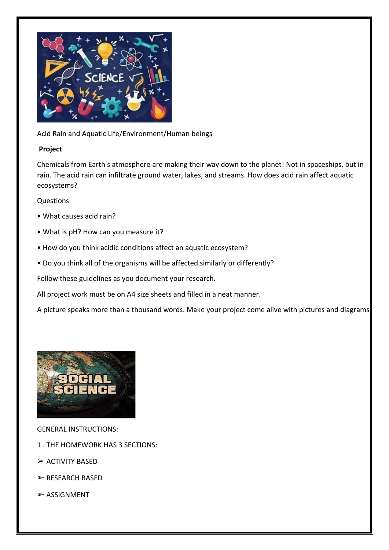

Acid Rain and Aquatic Life/Environment/Human beings

### **Project**

Chemicals from Earth's atmosphere are making their way down to the planet! Not in spaceships, but in rain. The acid rain can infiltrate ground water, lakes, and streams. How does acid rain affect aquatic ecosystems?

### Questions

- What causes acid rain?
- What is pH? How can you measure it?
- How do you think acidic conditions affect an aquatic ecosystem?
- Do you think all of the organisms will be affected similarly or differently?

Follow these guidelines as you document your research.

All project work must be on A4 size sheets and filled in a neat manner.

A picture speaks more than a thousand words. Make your project come alive with pictures and diagrams.



GENERAL INSTRUCTIONS:

- 1 . THE HOMEWORK HAS 3 SECTIONS:
- ➢ ACTIVITY BASED
- ➢ RESEARCH BASED
- $>$  ASSIGNMENT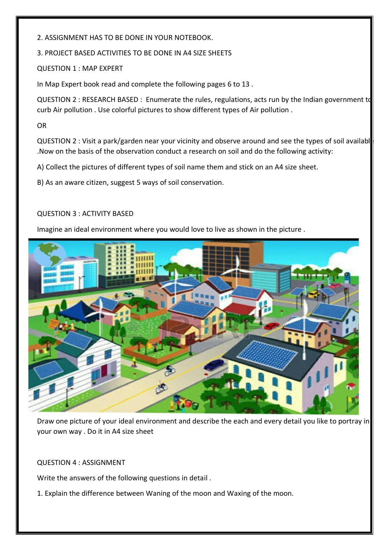2. ASSIGNMENT HAS TO BE DONE IN YOUR NOTEBOOK.

3. PROJECT BASED ACTIVITIES TO BE DONE IN A4 SIZE SHEETS

QUESTION 1 : MAP EXPERT

In Map Expert book read and complete the following pages 6 to 13 .

QUESTION 2 : RESEARCH BASED : Enumerate the rules, regulations, acts run by the Indian government to curb Air pollution . Use colorful pictures to show different types of Air pollution .

OR

QUESTION 2 : Visit a park/garden near your vicinity and observe around and see the types of soil availabl .Now on the basis of the observation conduct a research on soil and do the following activity:

A) Collect the pictures of different types of soil name them and stick on an A4 size sheet.

B) As an aware citizen, suggest 5 ways of soil conservation.

### QUESTION 3 : ACTIVITY BASED

Imagine an ideal environment where you would love to live as shown in the picture .



Draw one picture of your ideal environment and describe the each and every detail you like to portray in your own way . Do it in A4 size sheet

QUESTION 4 : ASSIGNMENT

Write the answers of the following questions in detail .

1. Explain the difference between Waning of the moon and Waxing of the moon.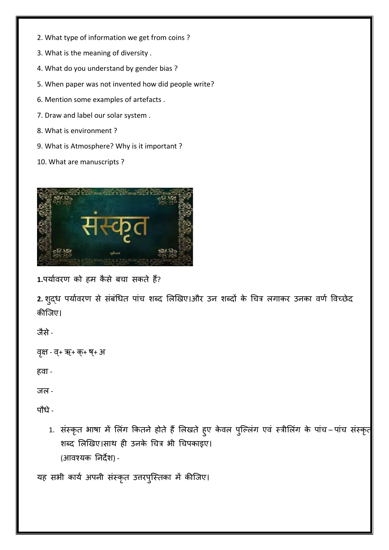- 2. What type of information we get from coins ?
- 3. What is the meaning of diversity .
- 4. What do you understand by gender bias ?
- 5. When paper was not invented how did people write?
- 6. Mention some examples of artefacts .
- 7. Draw and label our solar system .
- 8. What is environment ?
- 9. What is Atmosphere? Why is it important ?
- 10. What are manuscripts ?



1.पर्यावरण को हम कैसे बचा सकते हैं?

2. शुद्ध पर्यावरण से संबंधित पांच शब्द लिखिए।और उन शब्दों के चित्र लगाकर उनका वर्ण विच्छेद कीजिए।

िैसे-

वृक्ष - व्+ ऋ+ क्+ ष्+ अ

हवा -

जल -

पौधे-

1. संस्कृत भाषा में लिंग कितने होते हैं लिखते हुए केवल पुल्लिंग एवं स्त्रीलिंग के पांच–पांच संस्कृत शब्द लिखिए।साथ ही उनके चित्र भी चिपकाइए। (आवश्र्क ननदेश) -

यह सभी कार्य अपनी संस्कृत उत्तरपुस्तिका में कीजिए।